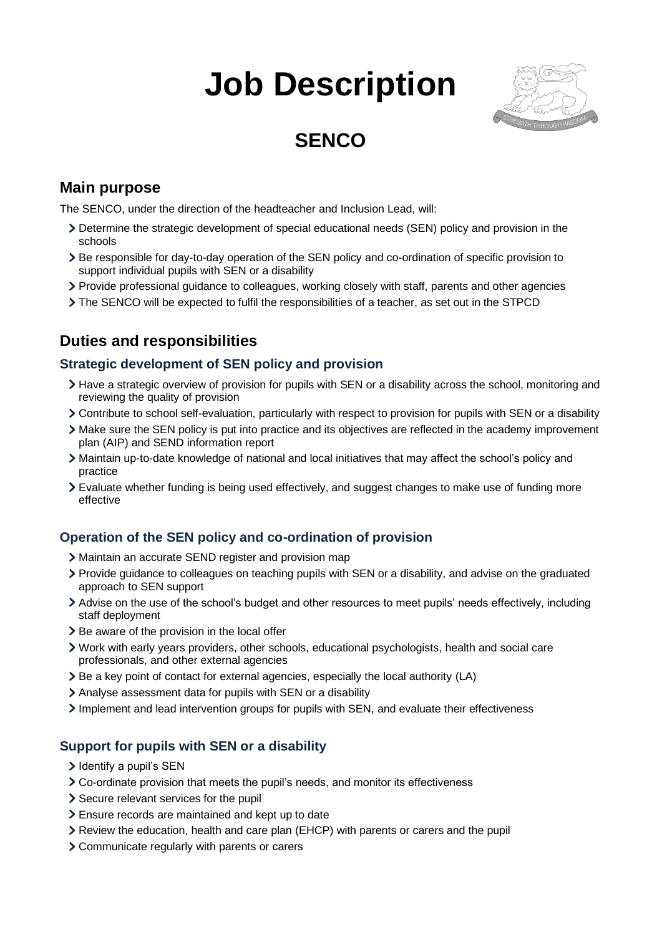# **Job Description**



# **SENCO**

### **Main purpose**

The SENCO, under the direction of the headteacher and Inclusion Lead, will:

- Determine the strategic development of special educational needs (SEN) policy and provision in the schools
- Be responsible for day-to-day operation of the SEN policy and co-ordination of specific provision to support individual pupils with SEN or a disability
- Provide professional guidance to colleagues, working closely with staff, parents and other agencies
- The SENCO will be expected to fulfil the responsibilities of a teacher, as set out in the STPCD

## **Duties and responsibilities**

#### **Strategic development of SEN policy and provision**

- Have a strategic overview of provision for pupils with SEN or a disability across the school, monitoring and reviewing the quality of provision
- Contribute to school self-evaluation, particularly with respect to provision for pupils with SEN or a disability
- Make sure the SEN policy is put into practice and its objectives are reflected in the academy improvement plan (AIP) and SEND information report
- Maintain up-to-date knowledge of national and local initiatives that may affect the school's policy and practice
- Evaluate whether funding is being used effectively, and suggest changes to make use of funding more effective

#### **Operation of the SEN policy and co-ordination of provision**

- Maintain an accurate SEND register and provision map
- Provide guidance to colleagues on teaching pupils with SEN or a disability, and advise on the graduated approach to SEN support
- Advise on the use of the school's budget and other resources to meet pupils' needs effectively, including staff deployment
- > Be aware of the provision in the local offer
- Work with early years providers, other schools, educational psychologists, health and social care professionals, and other external agencies
- $\geq$  Be a key point of contact for external agencies, especially the local authority (LA)
- Analyse assessment data for pupils with SEN or a disability
- Implement and lead intervention groups for pupils with SEN, and evaluate their effectiveness

#### **Support for pupils with SEN or a disability**

- > Identify a pupil's SEN
- Co-ordinate provision that meets the pupil's needs, and monitor its effectiveness
- Secure relevant services for the pupil
- Ensure records are maintained and kept up to date
- Review the education, health and care plan (EHCP) with parents or carers and the pupil
- Communicate regularly with parents or carers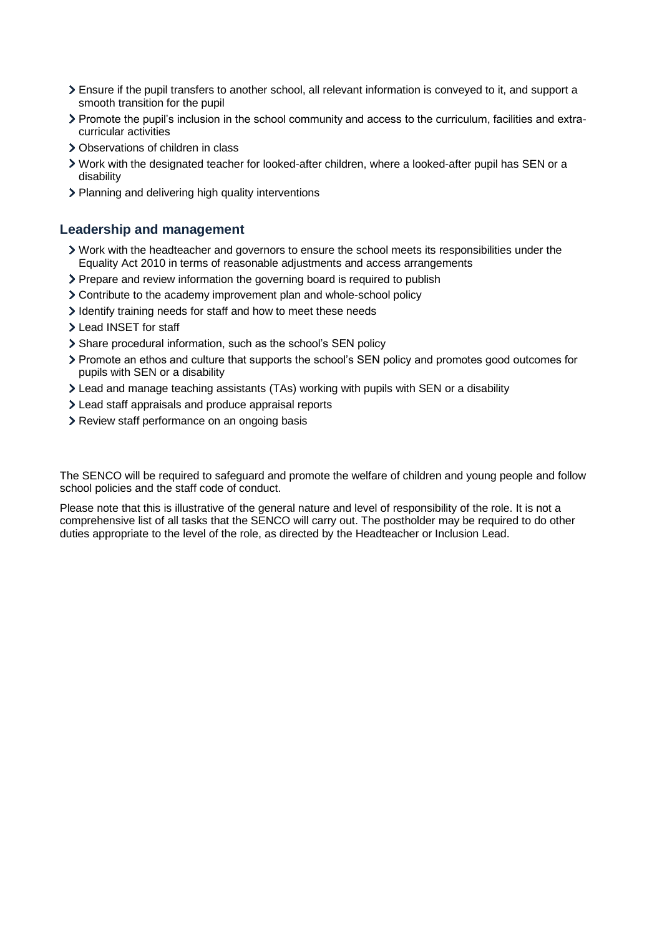- Ensure if the pupil transfers to another school, all relevant information is conveyed to it, and support a smooth transition for the pupil
- Promote the pupil's inclusion in the school community and access to the curriculum, facilities and extracurricular activities
- > Observations of children in class
- Work with the designated teacher for looked-after children, where a looked-after pupil has SEN or a disability
- > Planning and delivering high quality interventions

#### **Leadership and management**

- Work with the headteacher and governors to ensure the school meets its responsibilities under the Equality Act 2010 in terms of reasonable adjustments and access arrangements
- Prepare and review information the governing board is required to publish
- Contribute to the academy improvement plan and whole-school policy
- I dentify training needs for staff and how to meet these needs
- > Lead INSET for staff
- Share procedural information, such as the school's SEN policy
- Promote an ethos and culture that supports the school's SEN policy and promotes good outcomes for pupils with SEN or a disability
- Lead and manage teaching assistants (TAs) working with pupils with SEN or a disability
- Lead staff appraisals and produce appraisal reports
- > Review staff performance on an ongoing basis

The SENCO will be required to safeguard and promote the welfare of children and young people and follow school policies and the staff code of conduct.

Please note that this is illustrative of the general nature and level of responsibility of the role. It is not a comprehensive list of all tasks that the SENCO will carry out. The postholder may be required to do other duties appropriate to the level of the role, as directed by the Headteacher or Inclusion Lead.